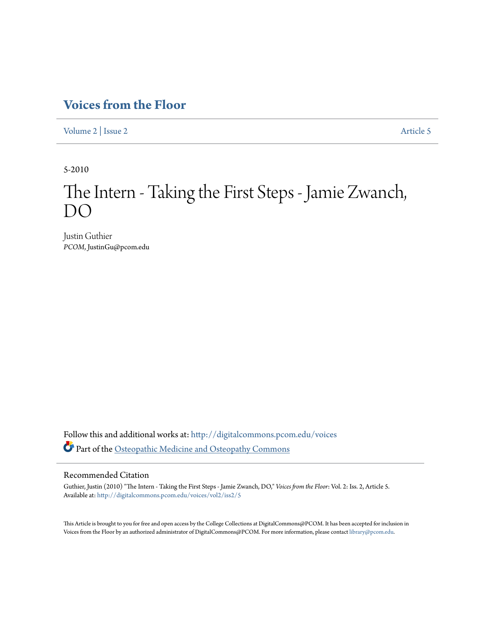## **[Voices from the Floor](http://digitalcommons.pcom.edu/voices?utm_source=digitalcommons.pcom.edu%2Fvoices%2Fvol2%2Fiss2%2F5&utm_medium=PDF&utm_campaign=PDFCoverPages)**

[Volume 2](http://digitalcommons.pcom.edu/voices/vol2?utm_source=digitalcommons.pcom.edu%2Fvoices%2Fvol2%2Fiss2%2F5&utm_medium=PDF&utm_campaign=PDFCoverPages) | [Issue 2](http://digitalcommons.pcom.edu/voices/vol2/iss2?utm_source=digitalcommons.pcom.edu%2Fvoices%2Fvol2%2Fiss2%2F5&utm_medium=PDF&utm_campaign=PDFCoverPages) [Article 5](http://digitalcommons.pcom.edu/voices/vol2/iss2/5?utm_source=digitalcommons.pcom.edu%2Fvoices%2Fvol2%2Fiss2%2F5&utm_medium=PDF&utm_campaign=PDFCoverPages)

5-2010

# The Intern - Taking the First Steps - Jamie Zwanch, DO

Justin Guthier *PCOM*, JustinGu@pcom.edu

Follow this and additional works at: [http://digitalcommons.pcom.edu/voices](http://digitalcommons.pcom.edu/voices?utm_source=digitalcommons.pcom.edu%2Fvoices%2Fvol2%2Fiss2%2F5&utm_medium=PDF&utm_campaign=PDFCoverPages) Part of the [Osteopathic Medicine and Osteopathy Commons](http://network.bepress.com/hgg/discipline/697?utm_source=digitalcommons.pcom.edu%2Fvoices%2Fvol2%2Fiss2%2F5&utm_medium=PDF&utm_campaign=PDFCoverPages)

### Recommended Citation

Guthier, Justin (2010) "The Intern - Taking the First Steps - Jamie Zwanch, DO," *Voices from the Floor*: Vol. 2: Iss. 2, Article 5. Available at: [http://digitalcommons.pcom.edu/voices/vol2/iss2/5](http://digitalcommons.pcom.edu/voices/vol2/iss2/5?utm_source=digitalcommons.pcom.edu%2Fvoices%2Fvol2%2Fiss2%2F5&utm_medium=PDF&utm_campaign=PDFCoverPages)

This Article is brought to you for free and open access by the College Collections at DigitalCommons@PCOM. It has been accepted for inclusion in Voices from the Floor by an authorized administrator of DigitalCommons@PCOM. For more information, please contact [library@pcom.edu](mailto:library@pcom.edu).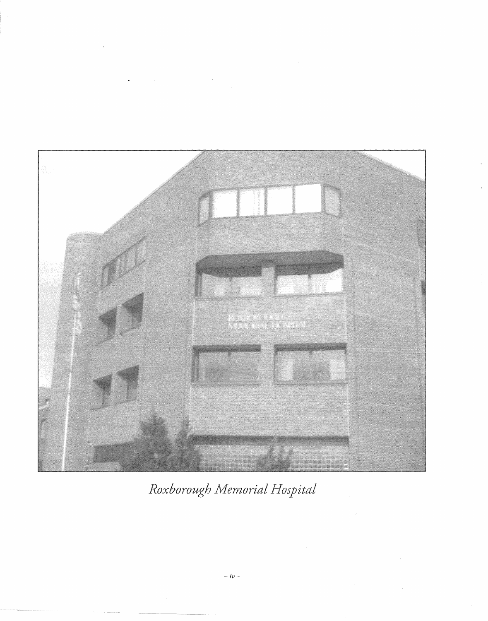$\ddot{\phantom{0}}$  $\bar{\gamma}$ 



Roxborough Memorial Hospital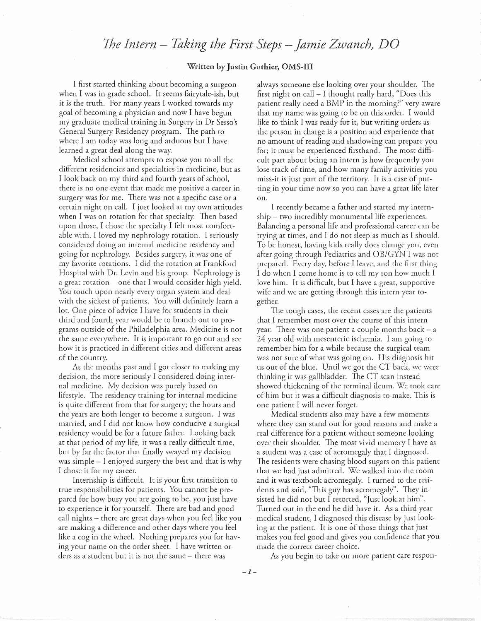## *1he Intern* - *Taking the First Steps -Jamie Zwanch)* 0

#### Written by Guthier, OMS-III

I first started thinking about becoming a surgeon when I was in grade school. It seems fairytale-ish, but it is the truth. For many years I worked towards my goal of becoming a physician and now I have begun my graduate medical training in Surgery in Dr Sesso's General Surgery Residency program. The path to where I am today was long and arduous but I have learned a great deal along the way.

Medical school attempts to expose you to all the different residencies and specialties in medicine, but as I look back on my third and fourth years of school, there is no one event that made me positive a career in surgery was for me. There was not a specific case or a certain night on call. I just looked at my own attitudes when I was on rotation for that specialty. Then based upon those, I chose the specialty I felt most comfortable with. I loved my nephrology rotation. I seriously considered doing an internal medicine residency and going for nephrology. Besides surgery, it was one of my favorite rotations. I did the rotation at Frankford Hospital \Vith Dr. Levin and his group. Nephrology is a great rotation - one that I would consider high yield. You touch upon nearly every organ system and deal with the sickest of patients. You will definitely learn a lot. One piece of advice I have for students in their third and fourth year would be to branch out to programs outside of the Philadelphia area. Medicine is not the same everywhere. It is important to go out and see how it is practiced in different cities and different areas of the country.

As the months past and I got closer to making my decision, the more seriously I considered doing internal medicine. *l\1y* decision was purely based on lifestyle. The residency training for internal medicine is quite difrerent from that for surgery; the hours and the years are both longer to become a surgeon. I was married, and I did not know how conducive a surgical residency would be for a future father. Looking back at that period of my life, it was a really difficult time, but *by* far the factor that finally swayed *my* decision was simple- I enjoyed surgery the best and that is why I chose it for my career.

Internship is difficult. It is your first transition to true responsibilities for patients. You cannot be prepared for how busy you are going to be, you just have to experience it for yourself. There are bad and good call nights- there are great days when *you* feel like you are making a difference and other days where you feel like a cog in the wheel. Nothing prepares *you* for having your name on the order sheet. I have written orders as a student but it is not the same – there was

always someone else looking over your shoulder. The first night on call- I thought really hard, "Does this patient really need a BMP in the morning?" very aware that my name was going to be on this order. I would like to think I was ready for it, but writing orders as the person in charge is a position and experience that no amount of reading and shadowing can prepare *you*  for; it must be experienced firsthand. The most difficult part about being an intern is how frequently *you*  lose track of time, and how many family activities *you*  miss-it is just part of the territory. It is a case of putting in your time now so you can have a great life later on.

I recently became a father and started my internship- tvvo incredibly monumental life experiences. Balancing a personal life and professional career can be trying at times, and I do not sleep as much as I should. To be honest, having kids really does change *you,* even after going through Pediatrics and OB/GYN I was not prepared. Every day, before I leave, and the first thing I do when I come home is to tell my son how much I love him. It is difficult, but I have a great, supportive wife and we are getting through this intern year together.

The tough cases, the recent cases are the patients that I remember most over the course of this intern year. There was one patient a couple months back- a 24 year old with mesenteric ischemia. I am going to remember him for a while because the surgical team was not sure of what was going on. His diagnosis hit us out of the blue. Until we got the CT back, we were thinking it was gallbladder. The CT scan instead showed thickening of the terminal ileum. We took care of him but it was a difficult diagnosis to make. This is one patient I will never forget.

Medical students also may have a few moments where they can stand out for good reasons and make a real difference for a patient without someone looking over their shoulder. The most vivid memory I have as a student was a case of acromegaly that I diagnosed. The residents were chasing blood sugars on this patient that we had just admitted. We walked into the room and it was textbook acromegaly. I turned to the residents and said, "This guy has acromegaly". They insisted he did not but I retorted, "Just look at him". Turned out in the end he did have it. As a third year medical student, I diagnosed this disease by just looking at the patient. It is one of those things that just makes you feel good and gives *you* confidence that you made the correct career choice.

As *you* begin to take on more patient care respon-